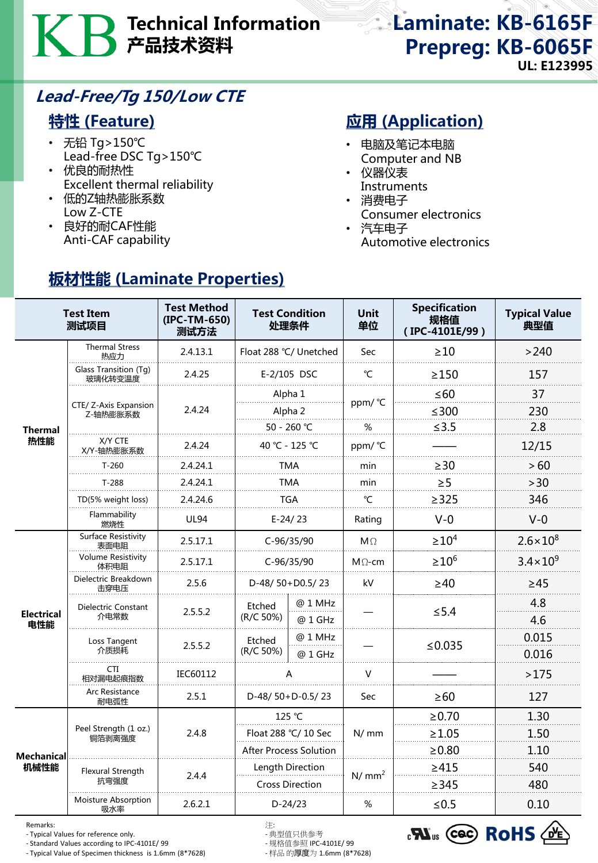# Technical Information 产品技术资料

Laminate: KB-6165F Prepreg: KB-6065F UL: E123995

## Lead-Free/Tg 150/Low CTE

### 特性 (Feature)

- 无铅 Tg>150℃ Lead-free DSC Tg>150℃
- 优良的耐热性 Excellent thermal reliability

板材性能 (Laminate Properties)

- 低的Z轴热膨胀系数 Low Z-CTE
- 良好的耐CAF性能 Anti-CAF capability

## **应用 (Application)**

- 电脑及笔记本电脑 Computer and NB
- 仪器仪表 **Instruments**
- 消费电子
- Consumer electronics
- 汽车电子 Automotive electronics

|                           | <b>Test Item</b><br>测试项目           | <b>Test Method</b><br>(IPC-TM-650)<br>测试方法 | <b>Test Condition</b><br>处理条件 |                    | <b>Unit</b><br>单位 | <b>Specification</b><br>规格值<br>(IPC-4101E/99) | <b>Typical Value</b><br>典型值 |
|---------------------------|------------------------------------|--------------------------------------------|-------------------------------|--------------------|-------------------|-----------------------------------------------|-----------------------------|
| <b>Thermal</b><br>热性能     | <b>Thermal Stress</b><br>热应力       | 2.4.13.1                                   | Float 288 °C/ Unetched        |                    | <b>Sec</b>        | $\geq 10$                                     | >240                        |
|                           | Glass Transition (Tg)<br>玻璃化转变温度   | 2.4.25                                     | E-2/105 DSC                   |                    | °C                | $\geq$ 150                                    | 157                         |
|                           | CTE/ Z-Axis Expansion<br>Z-轴热膨胀系数  | 2.4.24                                     | Alpha 1                       |                    | ppm/ °C           | $\leq 60$                                     | 37                          |
|                           |                                    |                                            | Alpha 2                       |                    |                   | $≤300$                                        | 230                         |
|                           |                                    |                                            | 50 - 260 °C                   |                    | %                 | ≤3.5                                          | 2.8                         |
|                           | X/Y CTE<br>X/Y-轴热膨胀系数              | 2.4.24                                     | 40 °C - 125 °C                |                    | ppm/°C            |                                               | 12/15                       |
|                           | $T-260$                            | 2.4.24.1                                   | TMA                           |                    | min               | $\geq 30$                                     | > 60                        |
|                           | $T-288$                            | 2.4.24.1                                   | <b>TMA</b>                    |                    | min               | $\geq 5$                                      | >30                         |
|                           | TD(5% weight loss)                 | 2.4.24.6                                   | TGA                           |                    | °C                | >325                                          | 346                         |
|                           | Flammability<br>燃烧性                | <b>UL94</b>                                | $E-24/23$                     |                    | Rating            | $V-0$                                         | $V-0$                       |
| <b>Electrical</b><br>电性能  | <b>Surface Resistivity</b><br>表面电阻 | 2.5.17.1                                   | $C-96/35/90$                  |                    | $M\Omega$         | $\geq 10^4$                                   | $2.6 \times 10^{8}$         |
|                           | <b>Volume Resistivity</b><br>体积电阻  | 2.5.17.1                                   | $C-96/35/90$                  |                    | $M\Omega$ -cm     | $\geq 10^6$                                   | $3.4 \times 10^{9}$         |
|                           | Dielectric Breakdown<br>击穿电压       | 2.5.6                                      | D-48/50+D0.5/23               |                    | kV                | $\geq 40$                                     | $\geq 45$                   |
|                           | Dielectric Constant<br>介电常数        | 2.5.5.2                                    | Etched<br>(R/C 50%)           | @ 1 MHz<br>@ 1 GHz |                   | $\leq$ 5.4                                    | 4.8<br>4.6                  |
|                           | Loss Tangent<br>介质损耗               | 2.5.5.2                                    | Etched<br>(R/C 50%)           | @ 1 MHz<br>@ 1 GHz |                   | ≤ $0.035$                                     | 0.015<br>0.016              |
|                           | CTI<br>相对漏电起痕指数                    | IEC60112                                   | А                             |                    | $\vee$            |                                               | >175                        |
|                           | Arc Resistance<br>耐电弧性             | 2.5.1                                      | D-48/50+D-0.5/23              |                    | Sec               | $\geq 60$                                     | 127                         |
| <b>Mechanical</b><br>机械性能 | Peel Strength (1 oz.)<br>铜箔剥离强度    | 2.4.8                                      | 125 °C                        |                    | N/mm              | $\ge 0.70$                                    | 1.30                        |
|                           |                                    |                                            | Float 288 °C/ 10 Sec          |                    |                   | $\geq 1.05$                                   | 1.50                        |
|                           |                                    |                                            | After Process Solution        |                    |                   | $\geq 0.80$                                   | 1.10                        |
|                           | Flexural Strength<br>抗弯强度          | 2.4.4                                      | Length Direction              |                    | N/mm <sup>2</sup> | $\geq 415$                                    | 540                         |
|                           |                                    |                                            | <b>Cross Direction</b>        |                    |                   | $\geq$ 345                                    | 480                         |
|                           | Moisture Absorption<br>吸水率         | 2.6.2.1                                    | $D-24/23$                     |                    | %                 | $≤0.5$                                        | 0.10                        |

Remarks: 注:

- Typical Values for reference only. - 典型值只供参考<br>- Standard Values according to IPC-4101E/ 99 - 规格值参照 IPC-4101E/ 99

- Standard Values according to IPC-4101E/ 99 - 规格值参照 IPC-4101E/ 99 - Typical Value of Specimen thickness is 1.6mm (8\*7628)